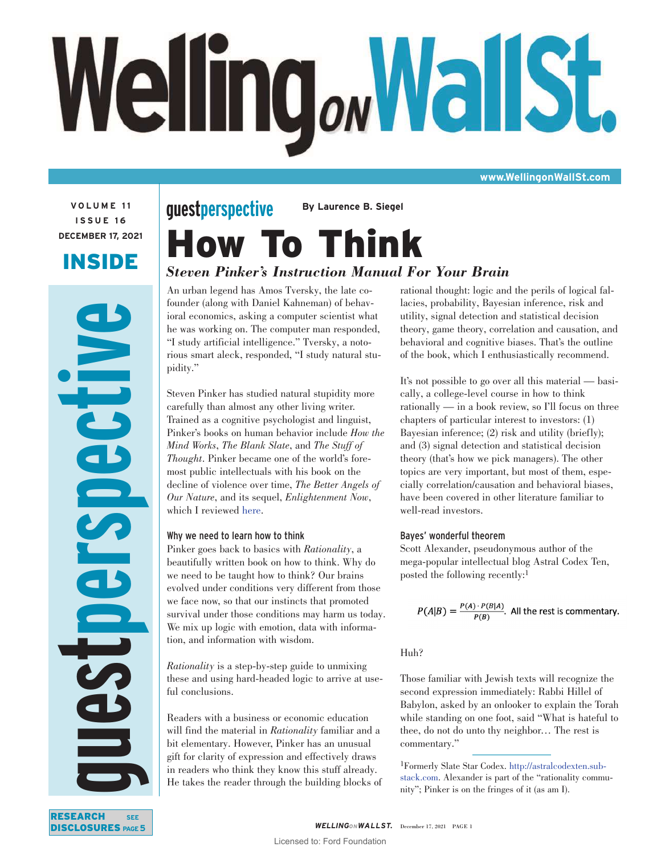# Welling<sub>ow</sub>WallSt.

**www.WellingonWallSt.com**

**VOLUME 11 ISSUE 16 DECEMBER 17, 2021**

# INSIDE

**guestperspective NEC** 65

# How To Think **guestperspective By Laurence B. Siegel**

# *Steven Pinker's Instruction Manual For Your Brain*

An urban legend has Amos Tversky, the late cofounder (along with Daniel Kahneman) of behavioral economics, asking a computer scientist what he was working on. The computer man responded, "I study artificial intelligence." Tversky, a notorious smart aleck, responded, "I study natural stupidity."

Steven Pinker has studied natural stupidity more carefully than almost any other living writer. Trained as a cognitive psychologist and linguist, Pinker's books on human behavior include *How the Mind Works*, *The Blank Slate*, and *The Stuff of Thought*. Pinker became one of the world's foremost public intellectuals with his book on the decline of violence over time, *The Better Angels of Our Nature*, and its sequel, *Enlightenment Now*, which I reviewed [here.](https://www.advisorperspectives.com/articles/2018/04/30/is-life-improving-documenting-the-remarkable-progress-of-humankind)

# Why we need to learn how to think

Pinker goes back to basics with *Rationality*, a beautifully written book on how to think. Why do we need to be taught how to think? Our brains evolved under conditions very different from those we face now, so that our instincts that promoted survival under those conditions may harm us today. We mix up logic with emotion, data with information, and information with wisdom.

*Rationality* is a step-by-step guide to unmixing these and using hard-headed logic to arrive at useful conclusions.

Readers with a business or economic education will find the material in *Rationality* familiar and a bit elementary. However, Pinker has an unusual gift for clarity of expression and effectively draws in readers who think they know this stuff already. He takes the reader through the building blocks of

rational thought: logic and the perils of logical fallacies, probability, Bayesian inference, risk and utility, signal detection and statistical decision theory, game theory, correlation and causation, and behavioral and cognitive biases. That's the outline of the book, which I enthusiastically recommend.

It's not possible to go over all this material — basically, a college-level course in how to think rationally — in a book review, so I'll focus on three chapters of particular interest to investors: (1) Bayesian inference; (2) risk and utility (briefly); and (3) signal detection and statistical decision theory (that's how we pick managers). The other topics are very important, but most of them, especially correlation/causation and behavioral biases, have been covered in other literature familiar to well-read investors.

# Bayes' wonderful theorem

Scott Alexander, pseudonymous author of the mega-popular intellectual blog Astral Codex Ten, posted the following recently:<sup>1</sup>

$$
P(A|B) = \frac{P(A) \cdot P(B|A)}{P(B)}
$$
. All the rest is commentary.

# Huh?

Those familiar with Jewish texts will recognize the second expression immediately: Rabbi Hillel of Babylon, asked by an onlooker to explain the Torah while standing on one foot, said "What is hateful to thee, do not do unto thy neighbor… The rest is commentary."

1Formerly Slate Star Codex. [http://astralcodexten.sub](http://astralcodexten.substack.com)[stack.com.](http://astralcodexten.substack.com) Alexander is part of the "rationality community"; Pinker is on the fringes of it (as am I).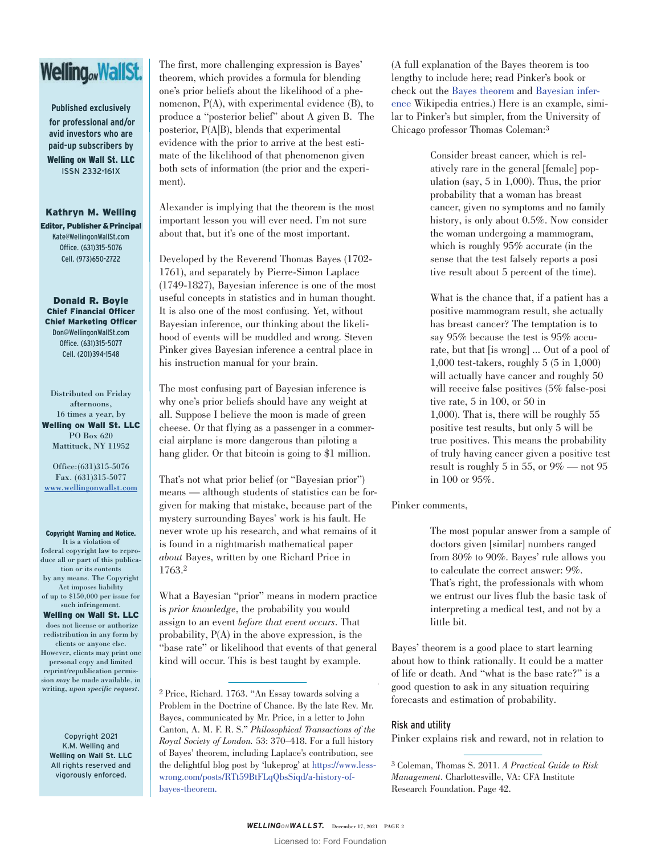# Welling<sub>ov</sub>WallSt.

**Published exclusively for professional and/or avid investors who are paid-up subscribers by**  Welling ON Wall St. LLC ISSN 2332-161X

Kathryn M. Welling Editor, Publisher & Principal Kate@WellingonWallSt.com Office. (631)315-5076 Cell. (973)650-2722

Donald R. Boyle Chief Financial Officer Chief Marketing Officer Don@WellingonWallSt.com Office. (631)315-5077 Cell. (201)394-1548

Distributed on Friday afternoons, 16 times a year, by Welling ON Wall St. LLC PO Box 620 Mattituck, NY 11952

Office:(631)315-5076 Fax. (631)315-5077 [www.wellingonwallst.com](https://www.nationalreview.com/magazine/2021/11/15/rationality-if-you-can-keep-it/)

Copyright Warning and Notice. It is a violation of federal copyright law to reproduce all or part of this publication or its contents by any means. The Copyright Act imposes liability of up to \$150,000 per issue for

such infringement.

Welling ON Wall St. LLC does not license or authorize redistribution in any form by clients or anyone else. However, clients may print one personal copy and limited reprint/republication permission *may* be made available, in writing, *upon specific request*.

Copyright 2021 K.M. Welling and **Welling on Wall St. LLC** All rights reserved and vigorously enforced.

The first, more challenging expression is Bayes' theorem, which provides a formula for blending one's prior beliefs about the likelihood of a phenomenon, P(A), with experimental evidence (B), to produce a "posterior belief" about A given B. The posterior, P(A|B), blends that experimental evidence with the prior to arrive at the best estimate of the likelihood of that phenomenon given both sets of information (the prior and the experiment).

Alexander is implying that the theorem is the most important lesson you will ever need. I'm not sure about that, but it's one of the most important.

Developed by the Reverend Thomas Bayes (1702- 1761), and separately by Pierre-Simon Laplace (1749-1827), Bayesian inference is one of the most useful concepts in statistics and in human thought. It is also one of the most confusing. Yet, without Bayesian inference, our thinking about the likelihood of events will be muddled and wrong. Steven Pinker gives Bayesian inference a central place in his instruction manual for your brain.

The most confusing part of Bayesian inference is why one's prior beliefs should have any weight at all. Suppose I believe the moon is made of green cheese. Or that flying as a passenger in a commercial airplane is more dangerous than piloting a hang glider. Or that bitcoin is going to \$1 million.

That's not what prior belief (or "Bayesian prior") means — although students of statistics can be forgiven for making that mistake, because part of the mystery surrounding Bayes' work is his fault. He never wrote up his research, and what remains of it is found in a nightmarish mathematical paper *about* Bayes, written by one Richard Price in 1763.2

What a Bayesian "prior" means in modern practice is *prior knowledge*, the probability you would assign to an event *before that event occurs*. That probability, P(A) in the above expression, is the "base rate" or likelihood that events of that general kind will occur. This is best taught by example.

(A full explanation of the Bayes theorem is too lengthy to include here; read Pinker's book or check out the [Bayes theorem](https://en.wikipedia.org/wiki/Bayes%27_theorem) and [Bayesian infer](https://en.wikipedia.org/wiki/Bayesian_inference)[ence](https://en.wikipedia.org/wiki/Bayesian_inference) Wikipedia entries.) Here is an example, similar to Pinker's but simpler, from the University of Chicago professor Thomas Coleman:3

> Consider breast cancer, which is relatively rare in the general [female] population (say, 5 in 1,000). Thus, the prior probability that a woman has breast cancer, given no symptoms and no family history, is only about 0.5%. Now consider the woman undergoing a mammogram, which is roughly 95% accurate (in the sense that the test falsely reports a posi tive result about 5 percent of the time).

What is the chance that, if a patient has a positive mammogram result, she actually has breast cancer? The temptation is to say 95% because the test is 95% accurate, but that [is wrong] ... Out of a pool of 1,000 test-takers, roughly 5 (5 in 1,000) will actually have cancer and roughly 50 will receive false positives (5% false-posi tive rate, 5 in 100, or 50 in 1,000). That is, there will be roughly 55 positive test results, but only 5 will be true positives. This means the probability of truly having cancer given a positive test result is roughly 5 in 55, or 9% — not 95 in 100 or 95%.

Pinker comments,

The most popular answer from a sample of doctors given [similar] numbers ranged from 80% to 90%. Bayes' rule allows you to calculate the correct answer: 9%. That's right, the professionals with whom we entrust our lives flub the basic task of interpreting a medical test, and not by a little bit.

Bayes' theorem is a good place to start learning about how to think rationally. It could be a matter of life or death. And "what is the base rate?" is a good question to ask in any situation requiring forecasts and estimation of probability.

# Risk and utility

Pinker explains risk and reward, not in relation to

<sup>2</sup> Price, Richard. 1763. "An Essay towards solving a Problem in the Doctrine of Chance. By the late Rev. Mr. Bayes, communicated by Mr. Price, in a letter to John Canton, A. M. F. R. S." *Philosophical Transactions of the Royal Society of London.* 53: 370–418. For a full history of Bayes' theorem, including Laplace's contribution, see the delightful blog post by 'lukeprog' at [https://www.less](https://www.lesswrong.com/posts/RTt59BtFLqQbsSiqd/a-history-of-bayes-theorem.)[wrong.com/posts/RTt59BtFLqQbsSiqd/a-history-of](https://www.lesswrong.com/posts/RTt59BtFLqQbsSiqd/a-history-of-bayes-theorem.)[bayes-theorem.](https://www.lesswrong.com/posts/RTt59BtFLqQbsSiqd/a-history-of-bayes-theorem.)

<sup>3</sup> Coleman, Thomas S. 2011. *A Practical Guide to Risk Management*. Charlottesville, VA: CFA Institute Research Foundation. Page 42.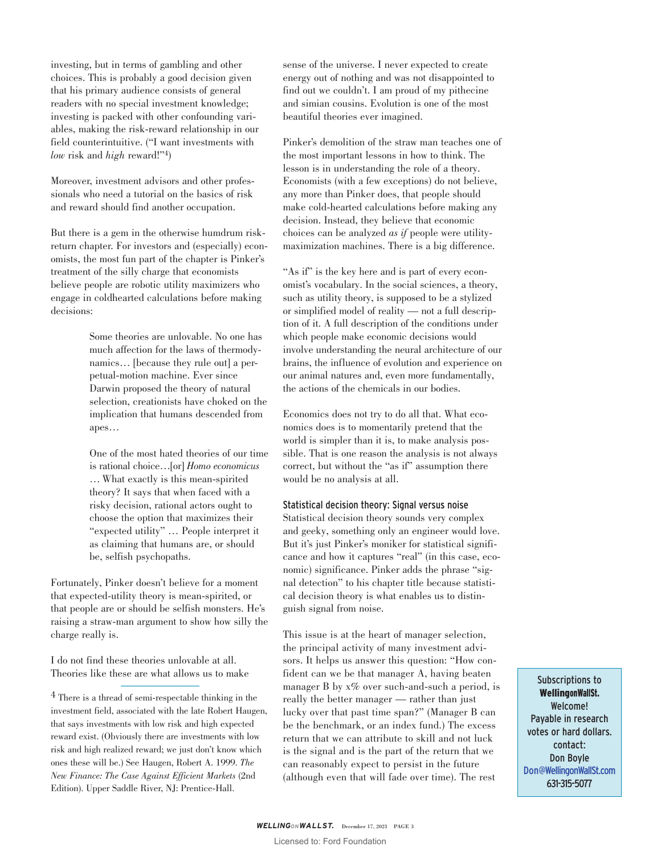investing, but in terms of gambling and other choices. This is probably a good decision given that his primary audience consists of general readers with no special investment knowledge; investing is packed with other confounding variables, making the risk-reward relationship in our field counterintuitive. ("I want investments with *low* risk and *high* reward!"4)

Moreover, investment advisors and other professionals who need a tutorial on the basics of risk and reward should find another occupation.

But there is a gem in the otherwise humdrum riskreturn chapter. For investors and (especially) economists, the most fun part of the chapter is Pinker's treatment of the silly charge that economists believe people are robotic utility maximizers who engage in coldhearted calculations before making decisions:

> Some theories are unlovable. No one has much affection for the laws of thermodynamics… [because they rule out] a perpetual-motion machine. Ever since Darwin proposed the theory of natural selection, creationists have choked on the implication that humans descended from apes…

> One of the most hated theories of our time is rational choice…[or] *Homo economicus* … What exactly is this mean-spirited theory? It says that when faced with a risky decision, rational actors ought to choose the option that maximizes their "expected utility" … People interpret it as claiming that humans are, or should be, selfish psychopaths.

Fortunately, Pinker doesn't believe for a moment that expected-utility theory is mean-spirited, or that people are or should be selfish monsters. He's raising a straw-man argument to show how silly the charge really is.

I do not find these theories unlovable at all. Theories like these are what allows us to make sense of the universe. I never expected to create energy out of nothing and was not disappointed to find out we couldn't. I am proud of my pithecine and simian cousins. Evolution is one of the most beautiful theories ever imagined.

Pinker's demolition of the straw man teaches one of the most important lessons in how to think. The lesson is in understanding the role of a theory. Economists (with a few exceptions) do not believe, any more than Pinker does, that people should make cold-hearted calculations before making any decision. Instead, they believe that economic choices can be analyzed *as if* people were utilitymaximization machines. There is a big difference.

"As if" is the key here and is part of every economist's vocabulary. In the social sciences, a theory, such as utility theory, is supposed to be a stylized or simplified model of reality — not a full description of it. A full description of the conditions under which people make economic decisions would involve understanding the neural architecture of our brains, the influence of evolution and experience on our animal natures and, even more fundamentally, the actions of the chemicals in our bodies.

Economics does not try to do all that. What economics does is to momentarily pretend that the world is simpler than it is, to make analysis possible. That is one reason the analysis is not always correct, but without the "as if" assumption there would be no analysis at all.

## Statistical decision theory: Signal versus noise

Statistical decision theory sounds very complex and geeky, something only an engineer would love. But it's just Pinker's moniker for statistical significance and how it captures "real" (in this case, economic) significance. Pinker adds the phrase "signal detection" to his chapter title because statistical decision theory is what enables us to distinguish signal from noise.

This issue is at the heart of manager selection, the principal activity of many investment advisors. It helps us answer this question: "How confident can we be that manager A, having beaten manager B by  $x\%$  over such-and-such a period, is really the better manager — rather than just lucky over that past time span?" (Manager B can be the benchmark, or an index fund.) The excess return that we can attribute to skill and not luck is the signal and is the part of the return that we can reasonably expect to persist in the future (although even that will fade over time). The rest

Subscriptions to WellingonWallSt. Welcome! Payable in research votes or hard dollars. contact: Don Boyle [Don@WellingonWallSt.com](http://www.advisorperspectives.com/) 631-315-5077

 $4$  There is a thread of semi-respectable thinking in the investment field, associated with the late Robert Haugen, that says investments with low risk and high expected reward exist. (Obviously there are investments with low risk and high realized reward; we just don't know which ones these will be.) See Haugen, Robert A. 1999. *The New Finance: The Case Against Efficient Markets* (2nd Edition). Upper Saddle River, NJ: Prentice-Hall.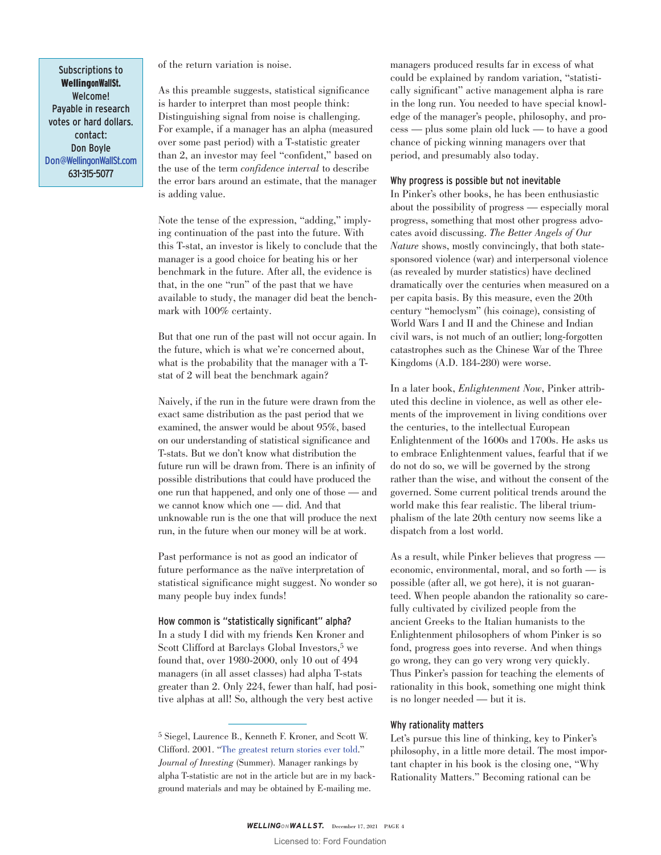Subscriptions to WellingonWallSt. Welcome! Payable in research votes or hard dollars. contact: Don Boyle [Don@WellingonWallSt.com](http://www.advisorperspectives.com/) 631-315-5077

of the return variation is noise.

As this preamble suggests, statistical significance is harder to interpret than most people think: Distinguishing signal from noise is challenging. For example, if a manager has an alpha (measured over some past period) with a T-statistic greater than 2, an investor may feel "confident," based on the use of the term *confidence interval* to describe the error bars around an estimate, that the manager is adding value.

Note the tense of the expression, "adding," implying continuation of the past into the future. With this T-stat, an investor is likely to conclude that the manager is a good choice for beating his or her benchmark in the future. After all, the evidence is that, in the one "run" of the past that we have available to study, the manager did beat the benchmark with 100% certainty.

But that one run of the past will not occur again. In the future, which is what we're concerned about, what is the probability that the manager with a Tstat of 2 will beat the benchmark again?

Naively, if the run in the future were drawn from the exact same distribution as the past period that we examined, the answer would be about 95%, based on our understanding of statistical significance and T-stats. But we don't know what distribution the future run will be drawn from. There is an infinity of possible distributions that could have produced the one run that happened, and only one of those — and we cannot know which one — did. And that unknowable run is the one that will produce the next run, in the future when our money will be at work.

Past performance is not as good an indicator of future performance as the naïve interpretation of statistical significance might suggest. No wonder so many people buy index funds!

### How common is "statistically significant" alpha?

In a study I did with my friends Ken Kroner and Scott Clifford at Barclays Global Investors,<sup>5</sup> we found that, over 1980-2000, only 10 out of 494 managers (in all asset classes) had alpha T-stats greater than 2. Only 224, fewer than half, had positive alphas at all! So, although the very best active

managers produced results far in excess of what could be explained by random variation, "statistically significant" active management alpha is rare in the long run. You needed to have special knowledge of the manager's people, philosophy, and process — plus some plain old luck — to have a good chance of picking winning managers over that period, and presumably also today.

### Why progress is possible but not inevitable

In Pinker's other books, he has been enthusiastic about the possibility of progress — especially moral progress, something that most other progress advocates avoid discussing. *The Better Angels of Our Nature* shows, mostly convincingly, that both statesponsored violence (war) and interpersonal violence (as revealed by murder statistics) have declined dramatically over the centuries when measured on a per capita basis. By this measure, even the 20th century "hemoclysm" (his coinage), consisting of World Wars I and II and the Chinese and Indian civil wars, is not much of an outlier; long-forgotten catastrophes such as the Chinese War of the Three Kingdoms (A.D. 184-280) were worse.

In a later book, *Enlightenment Now*, Pinker attributed this decline in violence, as well as other elements of the improvement in living conditions over the centuries, to the intellectual European Enlightenment of the 1600s and 1700s. He asks us to embrace Enlightenment values, fearful that if we do not do so, we will be governed by the strong rather than the wise, and without the consent of the governed. Some current political trends around the world make this fear realistic. The liberal triumphalism of the late 20th century now seems like a dispatch from a lost world.

As a result, while Pinker believes that progress economic, environmental, moral, and so forth — is possible (after all, we got here), it is not guaranteed. When people abandon the rationality so carefully cultivated by civilized people from the ancient Greeks to the Italian humanists to the Enlightenment philosophers of whom Pinker is so fond, progress goes into reverse. And when things go wrong, they can go very wrong very quickly. Thus Pinker's passion for teaching the elements of rationality in this book, something one might think is no longer needed — but it is.

# Why rationality matters

Let's pursue this line of thinking, key to Pinker's philosophy, in a little more detail. The most important chapter in his book is the closing one, "Why Rationality Matters." Becoming rational can be

<sup>5</sup> Siegel, Laurence B., Kenneth F. Kroner, and Scott W. Clifford. 2001. ["The greatest return stories ever told.](https://larrysiegeldotorg.files.wordpress.com/2014/07/barclays-greatest-joi.pdf)" *Journal of Investing* (Summer). Manager rankings by alpha T-statistic are not in the article but are in my background materials and may be obtained by E-mailing me.